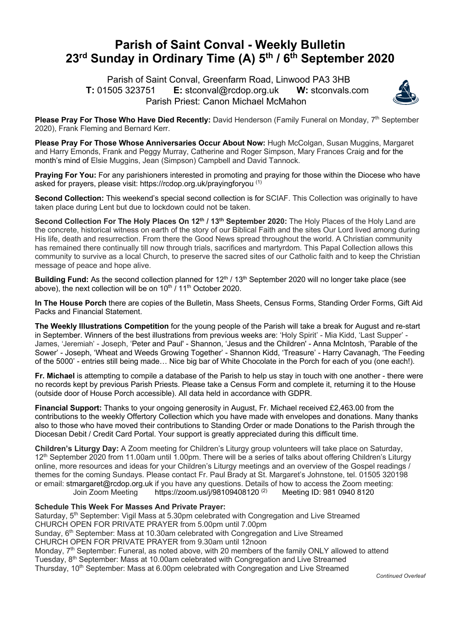## **Parish of Saint Conval - Weekly Bulletin 23rd Sunday in Ordinary Time (A) 5th / 6th September 2020**

 Parish of Saint Conval, Greenfarm Road, Linwood PA3 3HB **T:** 01505 323751 **E:** stconval@rcdop.org.uk **W:** stconvals.com Parish Priest: Canon Michael McMahon



**Please Pray For Those Who Have Died Recently:** David Henderson (Family Funeral on Monday, 7<sup>th</sup> September 2020), Frank Fleming and Bernard Kerr.

**Please Pray For Those Whose Anniversaries Occur About Now:** Hugh McColgan, Susan Muggins, Margaret and Harry Emonds, Frank and Peggy Murray, Catherine and Roger Simpson, Mary Frances Craig and for the month's mind of Elsie Muggins, Jean (Simpson) Campbell and David Tannock.

**Praying For You:** For any parishioners interested in promoting and praying for those within the Diocese who have asked for prayers, please visit: https://rcdop.org.uk/prayingforyou (1)

**Second Collection:** This weekend's special second collection is for SCIAF. This Collection was originally to have taken place during Lent but due to lockdown could not be taken.

**Second Collection For The Holy Places On 12th / 13th September 2020:** The Holy Places of the Holy Land are the concrete, historical witness on earth of the story of our Biblical Faith and the sites Our Lord lived among during His life, death and resurrection. From there the Good News spread throughout the world. A Christian community has remained there continually till now through trials, sacrifices and martyrdom. This Papal Collection allows this community to survive as a local Church, to preserve the sacred sites of our Catholic faith and to keep the Christian message of peace and hope alive.

**Building Fund:** As the second collection planned for 12<sup>th</sup> / 13<sup>th</sup> September 2020 will no longer take place (see above), the next collection will be on 10<sup>th</sup>  $/$  11<sup>th</sup> October 2020.

**In The House Porch** there are copies of the Bulletin, Mass Sheets, Census Forms, Standing Order Forms, Gift Aid Packs and Financial Statement.

**The Weekly Illustrations Competition** for the young people of the Parish will take a break for August and re-start in September. Winners of the best illustrations from previous weeks are: 'Holy Spirit' - Mia Kidd, 'Last Supper' - James, 'Jeremiah' - Joseph, 'Peter and Paul' - Shannon, 'Jesus and the Children' - Anna McIntosh, 'Parable of the Sower' - Joseph, 'Wheat and Weeds Growing Together' - Shannon Kidd, 'Treasure' - Harry Cavanagh, 'The Feeding of the 5000' - entries still being made… Nice big bar of White Chocolate in the Porch for each of you (one each!).

**Fr. Michael** is attempting to compile a database of the Parish to help us stay in touch with one another - there were no records kept by previous Parish Priests. Please take a Census Form and complete it, returning it to the House (outside door of House Porch accessible). All data held in accordance with GDPR.

**Financial Support:** Thanks to your ongoing generosity in August, Fr. Michael received £2,463.00 from the contributions to the weekly Offertory Collection which you have made with envelopes and donations. Many thanks also to those who have moved their contributions to Standing Order or made Donations to the Parish through the Diocesan Debit / Credit Card Portal. Your support is greatly appreciated during this difficult time.

**Children's Liturgy Day:** A Zoom meeting for Children's Liturgy group volunteers will take place on Saturday, 12<sup>th</sup> September 2020 from 11.00am until 1.00pm. There will be a series of talks about offering Children's Liturgy online, more resources and ideas for your Children's Liturgy meetings and an overview of the Gospel readings / themes for the coming Sundays. Please contact Fr. Paul Brady at St. Margaret's Johnstone, tel. 01505 320198 or email: stmargaret@rcdop.org.uk if you have any questions. Details of how to access the Zoom meeting: Join Zoom Meeting https://zoom.us/j/98109408120 (2) Meeting ID: 981 0940 8120

## **Schedule This Week For Masses And Private Prayer:**

Saturday, 5<sup>th</sup> September: Vigil Mass at 5.30pm celebrated with Congregation and Live Streamed CHURCH OPEN FOR PRIVATE PRAYER from 5.00pm until 7.00pm Sunday,  $6<sup>th</sup>$  September: Mass at 10.30am celebrated with Congregation and Live Streamed CHURCH OPEN FOR PRIVATE PRAYER from 9.30am until 12noon Monday, 7<sup>th</sup> September: Funeral, as noted above, with 20 members of the family ONLY allowed to attend Tuesday, 8th September: Mass at 10.00am celebrated with Congregation and Live Streamed Thursday, 10<sup>th</sup> September: Mass at 6.00pm celebrated with Congregation and Live Streamed

*Continued Overleaf*